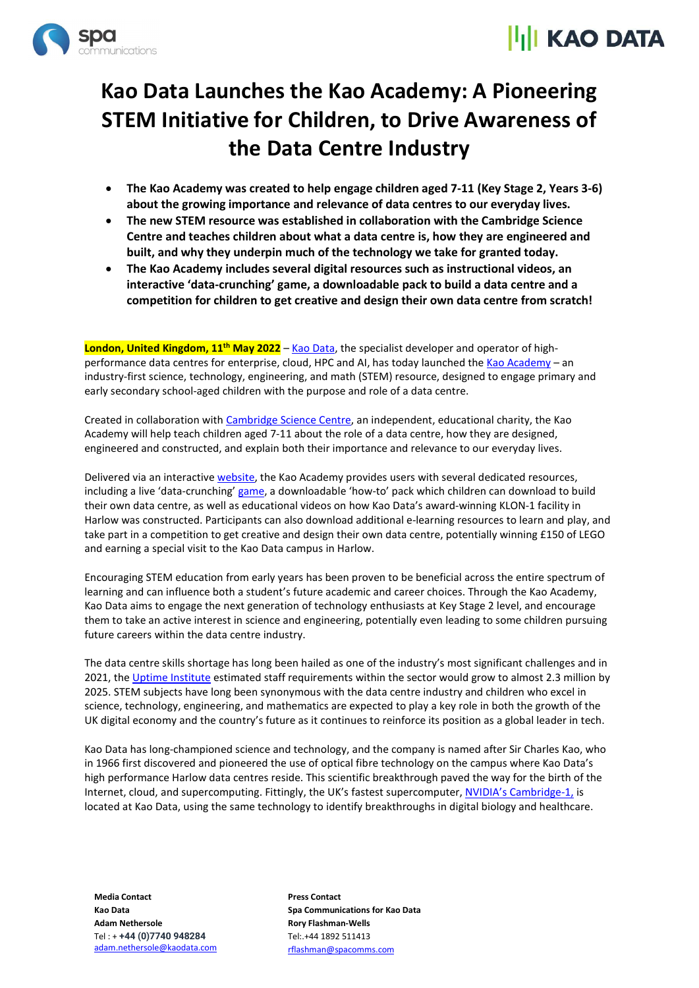



## Kao Data Launches the Kao Academy: A Pioneering STEM Initiative for Children, to Drive Awareness of the Data Centre Industry

- The Kao Academy was created to help engage children aged 7-11 (Key Stage 2, Years 3-6) about the growing importance and relevance of data centres to our everyday lives.
- The new STEM resource was established in collaboration with the Cambridge Science Centre and teaches children about what a data centre is, how they are engineered and built, and why they underpin much of the technology we take for granted today.
- The Kao Academy includes several digital resources such as instructional videos, an interactive 'data-crunching' game, a downloadable pack to build a data centre and a competition for children to get creative and design their own data centre from scratch!

London, United Kingdom, 11<sup>th</sup> May 2022 – Kao Data, the specialist developer and operator of highperformance data centres for enterprise, cloud, HPC and AI, has today launched the Kao Academy – an industry-first science, technology, engineering, and math (STEM) resource, designed to engage primary and early secondary school-aged children with the purpose and role of a data centre.

Created in collaboration with Cambridge Science Centre, an independent, educational charity, the Kao Academy will help teach children aged 7-11 about the role of a data centre, how they are designed, engineered and constructed, and explain both their importance and relevance to our everyday lives.

Delivered via an interactive website, the Kao Academy provides users with several dedicated resources, including a live 'data-crunching' game, a downloadable 'how-to' pack which children can download to build their own data centre, as well as educational videos on how Kao Data's award-winning KLON-1 facility in Harlow was constructed. Participants can also download additional e-learning resources to learn and play, and take part in a competition to get creative and design their own data centre, potentially winning £150 of LEGO and earning a special visit to the Kao Data campus in Harlow.

Encouraging STEM education from early years has been proven to be beneficial across the entire spectrum of learning and can influence both a student's future academic and career choices. Through the Kao Academy, Kao Data aims to engage the next generation of technology enthusiasts at Key Stage 2 level, and encourage them to take an active interest in science and engineering, potentially even leading to some children pursuing future careers within the data centre industry.

The data centre skills shortage has long been hailed as one of the industry's most significant challenges and in 2021, the Uptime Institute estimated staff requirements within the sector would grow to almost 2.3 million by 2025. STEM subjects have long been synonymous with the data centre industry and children who excel in science, technology, engineering, and mathematics are expected to play a key role in both the growth of the UK digital economy and the country's future as it continues to reinforce its position as a global leader in tech.

Kao Data has long-championed science and technology, and the company is named after Sir Charles Kao, who in 1966 first discovered and pioneered the use of optical fibre technology on the campus where Kao Data's high performance Harlow data centres reside. This scientific breakthrough paved the way for the birth of the Internet, cloud, and supercomputing. Fittingly, the UK's fastest supercomputer, NVIDIA's Cambridge-1, is located at Kao Data, using the same technology to identify breakthroughs in digital biology and healthcare.

Media Contact Kao Data Adam Nethersole Tel : + +44 (0)7740 948284 adam.nethersole@kaodata.com Press Contact Spa Communications for Kao Data Rory Flashman-Wells Tel:.+44 1892 511413 rflashman@spacomms.com